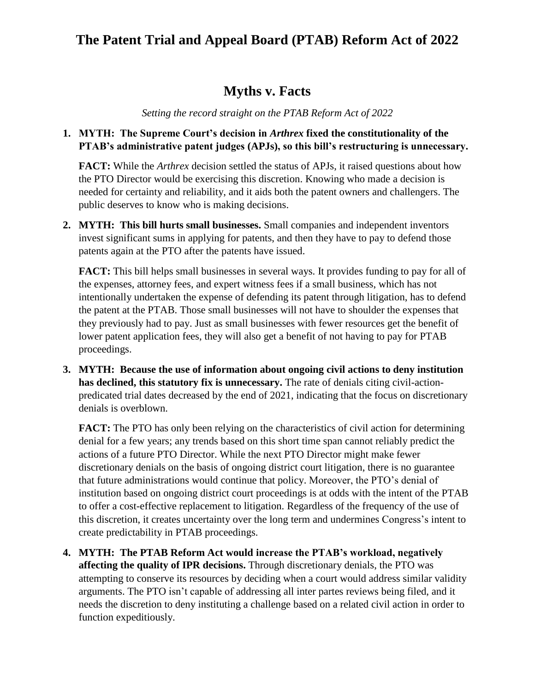## **The Patent Trial and Appeal Board (PTAB) Reform Act of 2022**

### **Myths v. Facts**

*Setting the record straight on the PTAB Reform Act of 2022*

#### **1. MYTH: The Supreme Court's decision in** *Arthrex* **fixed the constitutionality of the PTAB's administrative patent judges (APJs), so this bill's restructuring is unnecessary.**

**FACT:** While the *Arthrex* decision settled the status of APJs, it raised questions about how the PTO Director would be exercising this discretion. Knowing who made a decision is needed for certainty and reliability, and it aids both the patent owners and challengers. The public deserves to know who is making decisions.

**2. MYTH: This bill hurts small businesses.** Small companies and independent inventors invest significant sums in applying for patents, and then they have to pay to defend those patents again at the PTO after the patents have issued.

**FACT:** This bill helps small businesses in several ways. It provides funding to pay for all of the expenses, attorney fees, and expert witness fees if a small business, which has not intentionally undertaken the expense of defending its patent through litigation, has to defend the patent at the PTAB. Those small businesses will not have to shoulder the expenses that they previously had to pay. Just as small businesses with fewer resources get the benefit of lower patent application fees, they will also get a benefit of not having to pay for PTAB proceedings.

**3. MYTH: Because the use of information about ongoing civil actions to deny institution has declined, this statutory fix is unnecessary.** The rate of denials citing civil-actionpredicated trial dates decreased by the end of 2021, indicating that the focus on discretionary denials is overblown.

**FACT:** The PTO has only been relying on the characteristics of civil action for determining denial for a few years; any trends based on this short time span cannot reliably predict the actions of a future PTO Director. While the next PTO Director might make fewer discretionary denials on the basis of ongoing district court litigation, there is no guarantee that future administrations would continue that policy. Moreover, the PTO's denial of institution based on ongoing district court proceedings is at odds with the intent of the PTAB to offer a cost-effective replacement to litigation. Regardless of the frequency of the use of this discretion, it creates uncertainty over the long term and undermines Congress's intent to create predictability in PTAB proceedings.

**4. MYTH: The PTAB Reform Act would increase the PTAB's workload, negatively affecting the quality of IPR decisions.** Through discretionary denials, the PTO was attempting to conserve its resources by deciding when a court would address similar validity arguments. The PTO isn't capable of addressing all inter partes reviews being filed, and it needs the discretion to deny instituting a challenge based on a related civil action in order to function expeditiously.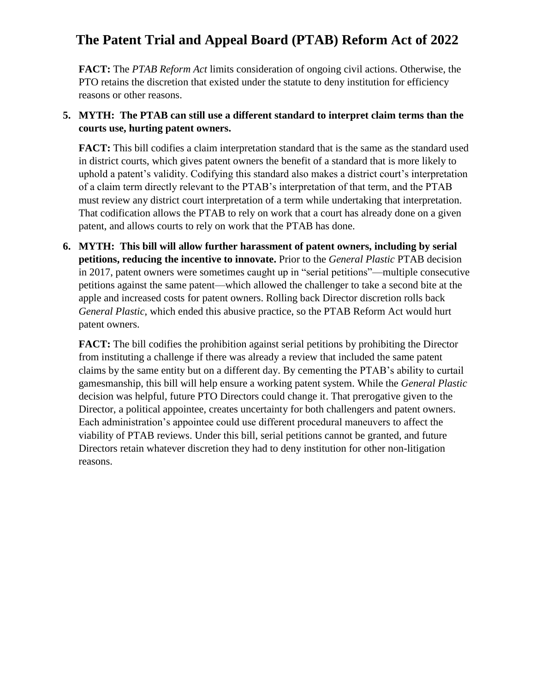# **The Patent Trial and Appeal Board (PTAB) Reform Act of 2022**

**FACT:** The *PTAB Reform Act* limits consideration of ongoing civil actions. Otherwise, the PTO retains the discretion that existed under the statute to deny institution for efficiency reasons or other reasons.

#### **5. MYTH: The PTAB can still use a different standard to interpret claim terms than the courts use, hurting patent owners.**

**FACT:** This bill codifies a claim interpretation standard that is the same as the standard used in district courts, which gives patent owners the benefit of a standard that is more likely to uphold a patent's validity. Codifying this standard also makes a district court's interpretation of a claim term directly relevant to the PTAB's interpretation of that term, and the PTAB must review any district court interpretation of a term while undertaking that interpretation. That codification allows the PTAB to rely on work that a court has already done on a given patent, and allows courts to rely on work that the PTAB has done.

**6. MYTH: This bill will allow further harassment of patent owners, including by serial petitions, reducing the incentive to innovate.** Prior to the *General Plastic* PTAB decision in 2017, patent owners were sometimes caught up in "serial petitions"—multiple consecutive petitions against the same patent—which allowed the challenger to take a second bite at the apple and increased costs for patent owners. Rolling back Director discretion rolls back *General Plastic*, which ended this abusive practice, so the PTAB Reform Act would hurt patent owners.

**FACT:** The bill codifies the prohibition against serial petitions by prohibiting the Director from instituting a challenge if there was already a review that included the same patent claims by the same entity but on a different day. By cementing the PTAB's ability to curtail gamesmanship, this bill will help ensure a working patent system. While the *General Plastic* decision was helpful, future PTO Directors could change it. That prerogative given to the Director, a political appointee, creates uncertainty for both challengers and patent owners. Each administration's appointee could use different procedural maneuvers to affect the viability of PTAB reviews. Under this bill, serial petitions cannot be granted, and future Directors retain whatever discretion they had to deny institution for other non-litigation reasons.